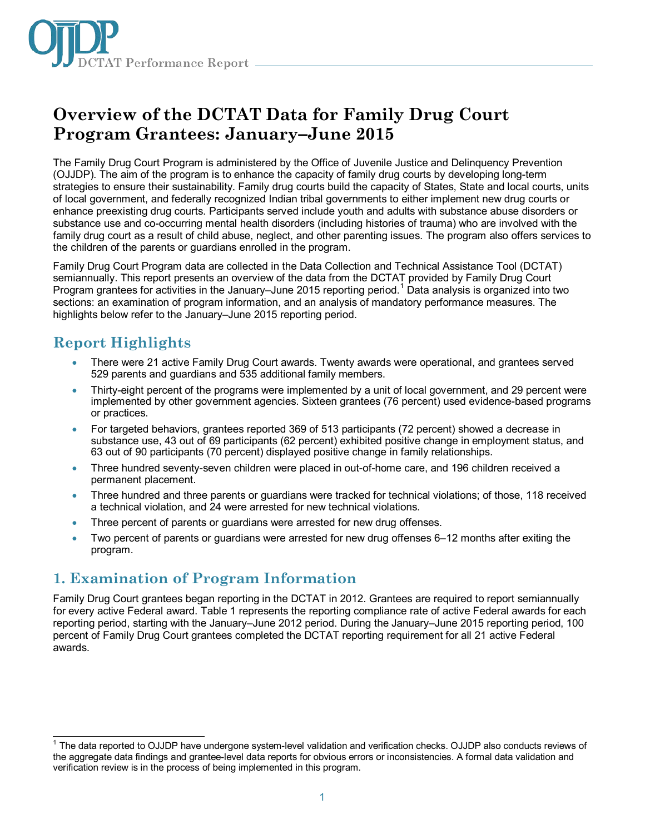

# **Overview of the DCTAT Data for Family Drug Court Program Grantees: January–June 2015**

The Family Drug Court Program is administered by the Office of Juvenile Justice and Delinquency Prevention (OJJDP). The aim of the program is to enhance the capacity of family drug courts by developing long-term strategies to ensure their sustainability. Family drug courts build the capacity of States, State and local courts, units of local government, and federally recognized Indian tribal governments to either implement new drug courts or enhance preexisting drug courts. Participants served include youth and adults with substance abuse disorders or substance use and co-occurring mental health disorders (including histories of trauma) who are involved with the family drug court as a result of child abuse, neglect, and other parenting issues. The program also offers services to the children of the parents or guardians enrolled in the program.

Family Drug Court Program data are collected in the Data Collection and Technical Assistance Tool (DCTAT) semiannually. This report presents an overview of the data from the DCTAT provided by Family Drug Court Program grantees for activities in the January–June 20[1](#page-0-0)5 reporting period.<sup>1</sup> Data analysis is organized into two sections: an examination of program information, and an analysis of mandatory performance measures. The highlights below refer to the January–June 2015 reporting period.

# **Report Highlights**

- There were 21 active Family Drug Court awards. Twenty awards were operational, and grantees served 529 parents and guardians and 535 additional family members.
- Thirty-eight percent of the programs were implemented by a unit of local government, and 29 percent were implemented by other government agencies. Sixteen grantees (76 percent) used evidence-based programs or practices.
- For targeted behaviors, grantees reported 369 of 513 participants (72 percent) showed a decrease in substance use, 43 out of 69 participants (62 percent) exhibited positive change in employment status, and 63 out of 90 participants (70 percent) displayed positive change in family relationships.
- Three hundred seventy-seven children were placed in out-of-home care, and 196 children received a permanent placement.
- Three hundred and three parents or guardians were tracked for technical violations; of those, 118 received a technical violation, and 24 were arrested for new technical violations.
- Three percent of parents or guardians were arrested for new drug offenses.
- Two percent of parents or quardians were arrested for new drug offenses 6–12 months after exiting the program.

# **1. Examination of Program Information**

Family Drug Court grantees began reporting in the DCTAT in 2012. Grantees are required to report semiannually for every active Federal award. Table 1 represents the reporting compliance rate of active Federal awards for each reporting period, starting with the January–June 2012 period. During the January–June 2015 reporting period, 100 percent of Family Drug Court grantees completed the DCTAT reporting requirement for all 21 active Federal awards.

<span id="page-0-0"></span> $\overline{\phantom{a}}$ <sup>1</sup> The data reported to OJJDP have undergone system-level validation and verification checks. OJJDP also conducts reviews of the aggregate data findings and grantee-level data reports for obvious errors or inconsistencies. A formal data validation and verification review is in the process of being implemented in this program.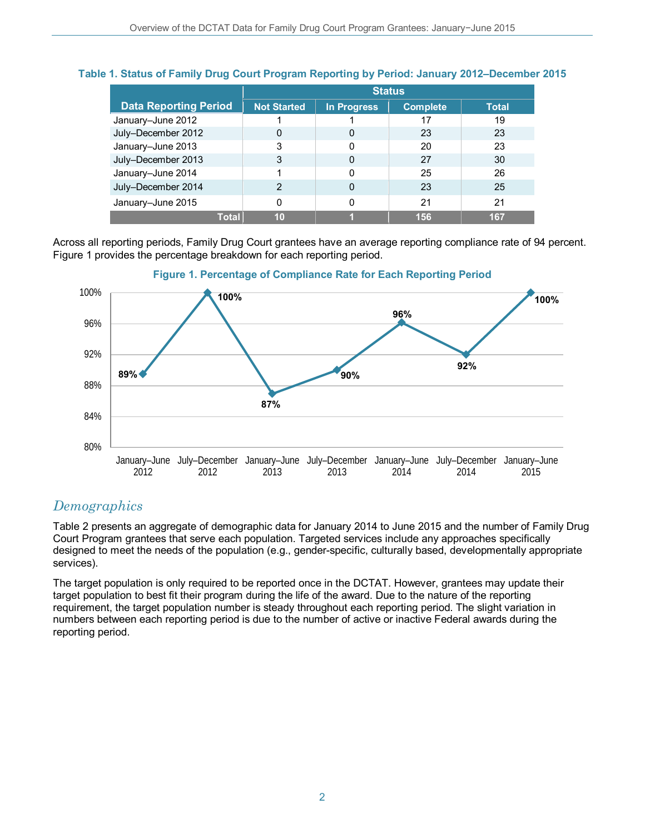### **Table 1. Status of Family Drug Court Program Reporting by Period: January 2012–December 2015**

|                              | <b>Status</b>      |             |                 |              |
|------------------------------|--------------------|-------------|-----------------|--------------|
| <b>Data Reporting Period</b> | <b>Not Started</b> | In Progress | <b>Complete</b> | <b>Total</b> |
| January-June 2012            |                    |             | 17              | 19           |
| July-December 2012           | 0                  | 0           | 23              | 23           |
| January-June 2013            | 3                  | ŋ           | 20              | 23           |
| July-December 2013           | 3                  | 0           | 27              | 30           |
| January-June 2014            |                    | ŋ           | 25              | 26           |
| July-December 2014           | 2                  | 0           | 23              | 25           |
| January-June 2015            |                    | 0           | 21              | 21           |
| <b>Total</b>                 | 10                 |             | 156             | 167          |

Across all reporting periods, Family Drug Court grantees have an average reporting compliance rate of 94 percent. Figure 1 provides the percentage breakdown for each reporting period.





## *Demographics*

Table 2 presents an aggregate of demographic data for January 2014 to June 2015 and the number of Family Drug Court Program grantees that serve each population. Targeted services include any approaches specifically designed to meet the needs of the population (e.g., gender-specific, culturally based, developmentally appropriate services).

The target population is only required to be reported once in the DCTAT. However, grantees may update their target population to best fit their program during the life of the award. Due to the nature of the reporting requirement, the target population number is steady throughout each reporting period. The slight variation in numbers between each reporting period is due to the number of active or inactive Federal awards during the reporting period.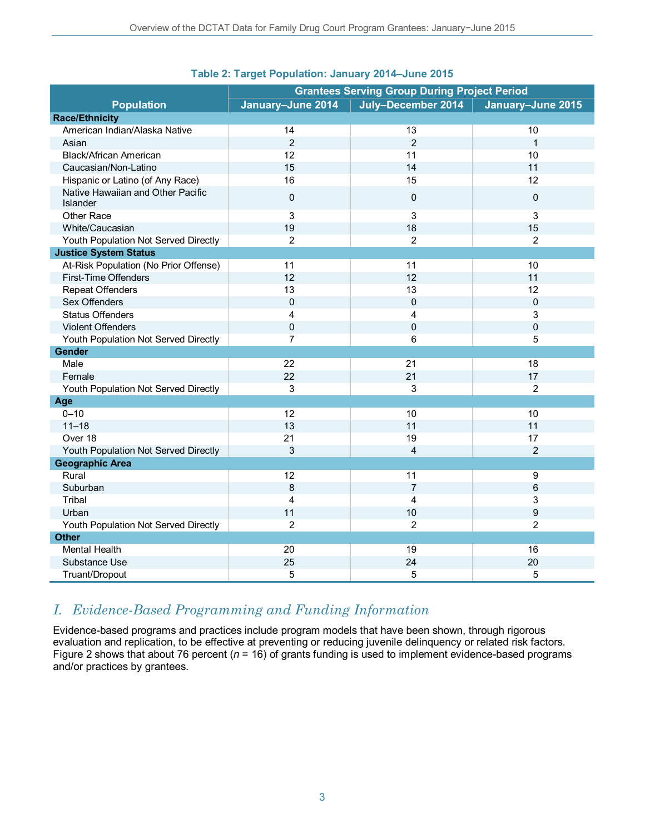|                                               | <b>Grantees Serving Group During Project Period</b> |                    |                   |
|-----------------------------------------------|-----------------------------------------------------|--------------------|-------------------|
| <b>Population</b>                             | January-June 2014                                   | July-December 2014 | January-June 2015 |
| <b>Race/Ethnicity</b>                         |                                                     |                    |                   |
| American Indian/Alaska Native                 | 14                                                  | 13                 | 10                |
| Asian                                         | $\overline{2}$                                      | $\overline{2}$     | $\mathbf{1}$      |
| Black/African American                        | 12                                                  | 11                 | 10                |
| Caucasian/Non-Latino                          | 15                                                  | 14                 | 11                |
| Hispanic or Latino (of Any Race)              | 16                                                  | 15                 | 12                |
| Native Hawaiian and Other Pacific<br>Islander | $\mathsf 0$                                         | $\mathbf 0$        | $\mathbf 0$       |
| Other Race                                    | 3                                                   | 3                  | 3                 |
| White/Caucasian                               | 19                                                  | 18                 | 15                |
| Youth Population Not Served Directly          | $\overline{2}$                                      | 2                  | $\overline{2}$    |
| <b>Justice System Status</b>                  |                                                     |                    |                   |
| At-Risk Population (No Prior Offense)         | 11                                                  | 11                 | 10                |
| First-Time Offenders                          | 12                                                  | 12                 | 11                |
| <b>Repeat Offenders</b>                       | 13                                                  | 13                 | 12                |
| Sex Offenders                                 | 0                                                   | $\mathbf 0$        | $\pmb{0}$         |
| <b>Status Offenders</b>                       | 4                                                   | 4                  | 3                 |
| Violent Offenders                             | $\mathbf 0$                                         | $\mathbf 0$        | $\mathbf 0$       |
| Youth Population Not Served Directly          | $\overline{7}$                                      | 6                  | 5                 |
| Gender                                        |                                                     |                    |                   |
| Male                                          | 22                                                  | 21                 | 18                |
| Female                                        | 22                                                  | 21                 | 17                |
| Youth Population Not Served Directly          | 3                                                   | 3                  | $\overline{2}$    |
| Age                                           |                                                     |                    |                   |
| $0 - 10$                                      | 12                                                  | 10                 | 10                |
| $11 - 18$                                     | 13                                                  | 11                 | 11                |
| Over 18                                       | 21                                                  | 19                 | 17                |
| Youth Population Not Served Directly          | 3                                                   | $\overline{4}$     | $\overline{2}$    |
| <b>Geographic Area</b>                        |                                                     |                    |                   |
| Rural                                         | 12                                                  | 11                 | 9                 |
| Suburban                                      | 8                                                   | $\overline{7}$     | 6                 |
| Tribal                                        | 4                                                   | 4                  | 3                 |
| Urban                                         | 11                                                  | 10                 | 9                 |
| Youth Population Not Served Directly          | $\overline{2}$                                      | $\overline{2}$     | $\overline{2}$    |
| <b>Other</b>                                  |                                                     |                    |                   |
| Mental Health                                 | 20                                                  | 19                 | 16                |
| Substance Use                                 | 25                                                  | 24                 | 20                |
| Truant/Dropout                                | 5                                                   | 5                  | $\overline{5}$    |

#### **Table 2: Target Population: January 2014–June 2015**

## *I. Evidence-Based Programming and Funding Information*

Evidence-based programs and practices include program models that have been shown, through rigorous evaluation and replication, to be effective at preventing or reducing juvenile delinquency or related risk factors. Figure 2 shows that about 76 percent (*n* = 16) of grants funding is used to implement evidence-based programs and/or practices by grantees.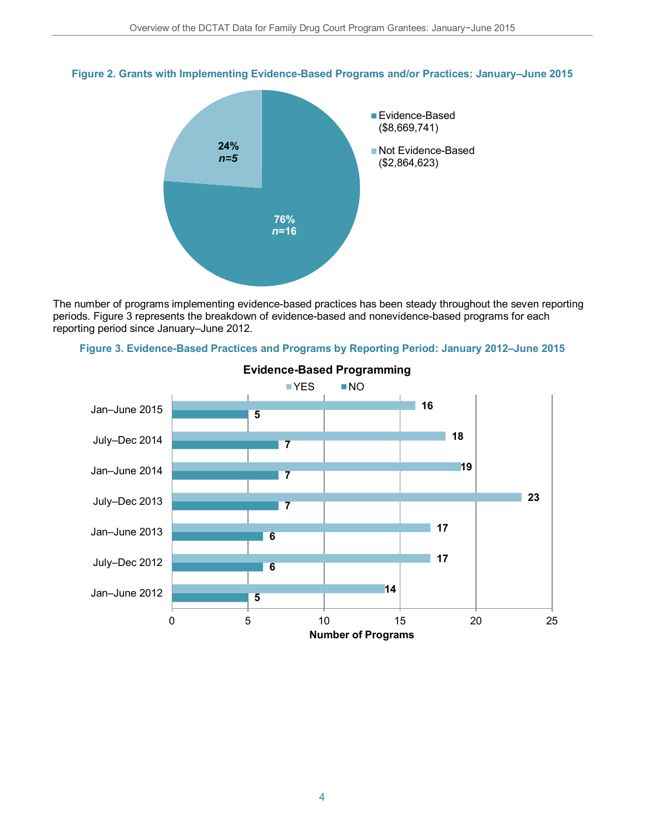



The number of programs implementing evidence-based practices has been steady throughout the seven reporting periods. Figure 3 represents the breakdown of evidence-based and nonevidence-based programs for each reporting period since January–June 2012.



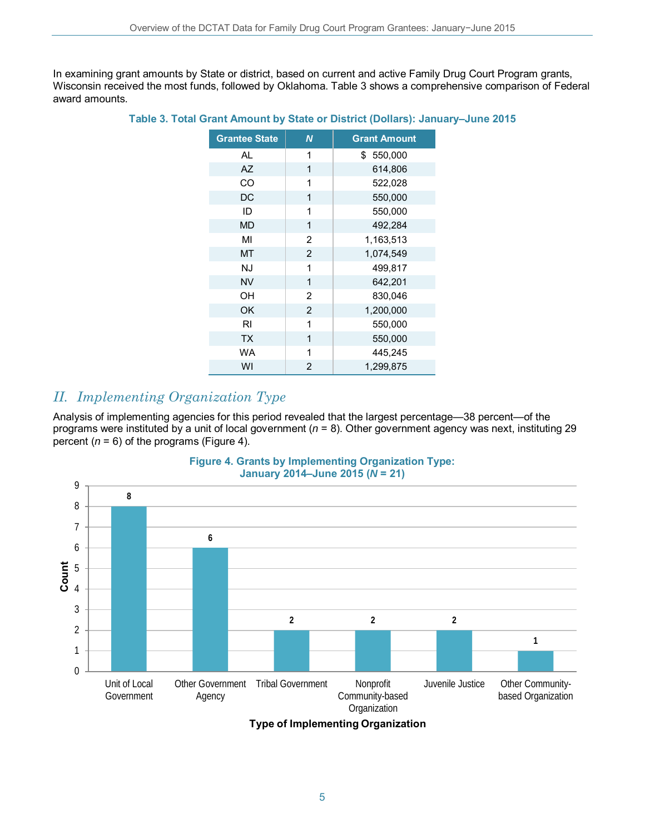In examining grant amounts by State or district, based on current and active Family Drug Court Program grants, Wisconsin received the most funds, followed by Oklahoma. Table 3 shows a comprehensive comparison of Federal award amounts.

| <b>Grantee State</b> | N              | <b>Grant Amount</b> |
|----------------------|----------------|---------------------|
| AL                   | 1              | \$550,000           |
| <b>AZ</b>            | 1              | 614,806             |
| CO                   | 1              | 522,028             |
| DC                   | 1              | 550,000             |
| ID                   | 1              | 550,000             |
| <b>MD</b>            | 1              | 492,284             |
| MI                   | 2              | 1,163,513           |
| MT                   | $\overline{2}$ | 1,074,549           |
| <b>NJ</b>            | 1              | 499,817             |
| <b>NV</b>            | 1              | 642,201             |
| OН                   | 2              | 830,046             |
| OK                   | $\overline{2}$ | 1,200,000           |
| <b>RI</b>            | 1              | 550,000             |
| <b>TX</b>            | 1              | 550,000             |
| WA                   | 1              | 445,245             |
| WI                   | $\overline{2}$ | 1,299,875           |

#### **Table 3. Total Grant Amount by State or District (Dollars): January–June 2015**

## *II. Implementing Organization Type*

Analysis of implementing agencies for this period revealed that the largest percentage—38 percent—of the programs were instituted by a unit of local government (*n* = 8). Other government agency was next, instituting 29 percent  $(n = 6)$  of the programs (Figure 4).



**Figure 4. Grants by Implementing Organization Type:** 

**Type of Implementing Organization**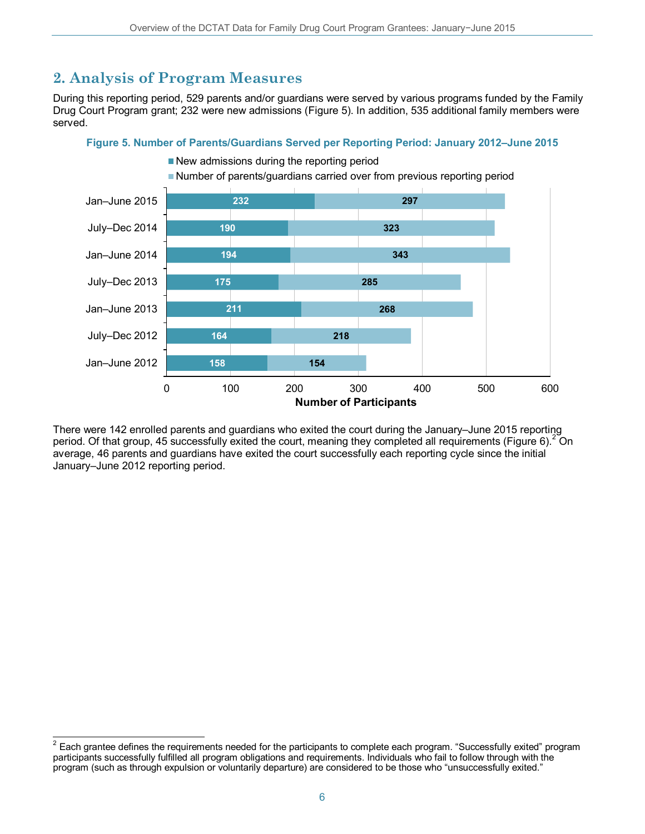# **2. Analysis of Program Measures**

During this reporting period, 529 parents and/or guardians were served by various programs funded by the Family Drug Court Program grant; 232 were new admissions (Figure 5). In addition, 535 additional family members were served.

#### **Figure 5. Number of Parents/Guardians Served per Reporting Period: January 2012–June 2015**



There were 142 enrolled parents and guardians who exited the court during the January–June 2015 reporting period. Of that group, 45 successfully exited the court, meaning they completed all requirements (Figure 6).<sup>[2](#page-5-0)</sup> On average, 46 parents and guardians have exited the court successfully each reporting cycle since the initial January–June 2012 reporting period.

<span id="page-5-0"></span> $^2$  Each grantee defines the requirements needed for the participants to complete each program. "Successfully exited" program participants successfully fulfilled all program obligations and requirements. Individuals who fail to follow through with the program (such as through expulsion or voluntarily departure) are considered to be those who "unsuccessfully exited."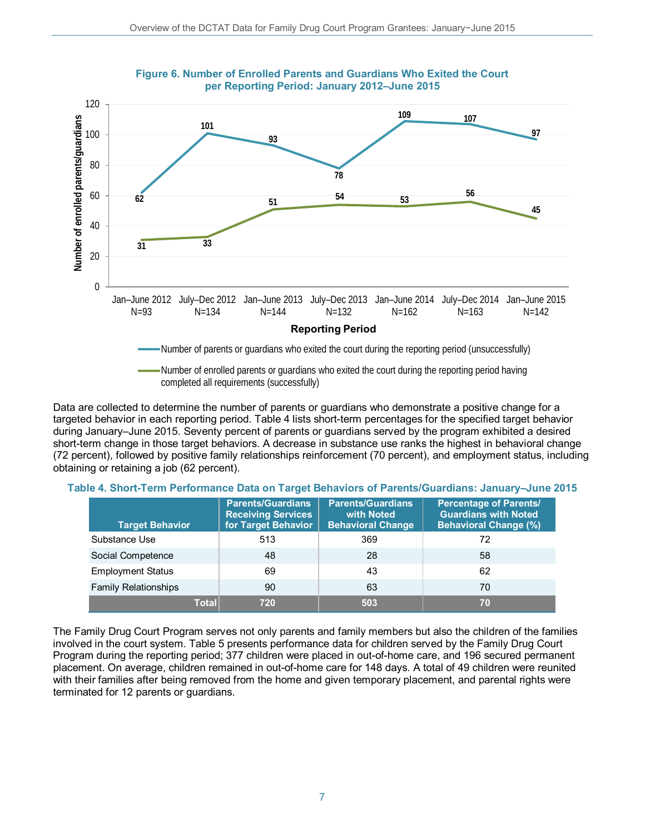



completed all requirements (successfully)

Data are collected to determine the number of parents or guardians who demonstrate a positive change for a targeted behavior in each reporting period. Table 4 lists short-term percentages for the specified target behavior during January–June 2015. Seventy percent of parents or guardians served by the program exhibited a desired short-term change in those target behaviors. A decrease in substance use ranks the highest in behavioral change (72 percent), followed by positive family relationships reinforcement (70 percent), and employment status, including obtaining or retaining a job (62 percent).

|  |  | Table 4. Short-Term Performance Data on Target Behaviors of Parents/Guardians: January–June 2015 |
|--|--|--------------------------------------------------------------------------------------------------|
|--|--|--------------------------------------------------------------------------------------------------|

| <b>Target Behavior</b>      | <b>Parents/Guardians</b><br><b>Receiving Services</b><br>for Target Behavior | <b>Parents/Guardians</b><br>with Noted<br><b>Behavioral Change</b> | <b>Percentage of Parents/</b><br><b>Guardians with Noted</b><br><b>Behavioral Change (%)</b> |
|-----------------------------|------------------------------------------------------------------------------|--------------------------------------------------------------------|----------------------------------------------------------------------------------------------|
| Substance Use               | 513                                                                          | 369                                                                | 72                                                                                           |
| Social Competence           | 48                                                                           | 28                                                                 | 58                                                                                           |
| <b>Employment Status</b>    | 69                                                                           | 43                                                                 | 62                                                                                           |
| <b>Family Relationships</b> | 90                                                                           | 63                                                                 | 70                                                                                           |
| Total                       | 720                                                                          | 503                                                                | 70                                                                                           |

The Family Drug Court Program serves not only parents and family members but also the children of the families involved in the court system. Table 5 presents performance data for children served by the Family Drug Court Program during the reporting period; 377 children were placed in out-of-home care, and 196 secured permanent placement. On average, children remained in out-of-home care for 148 days. A total of 49 children were reunited with their families after being removed from the home and given temporary placement, and parental rights were terminated for 12 parents or guardians.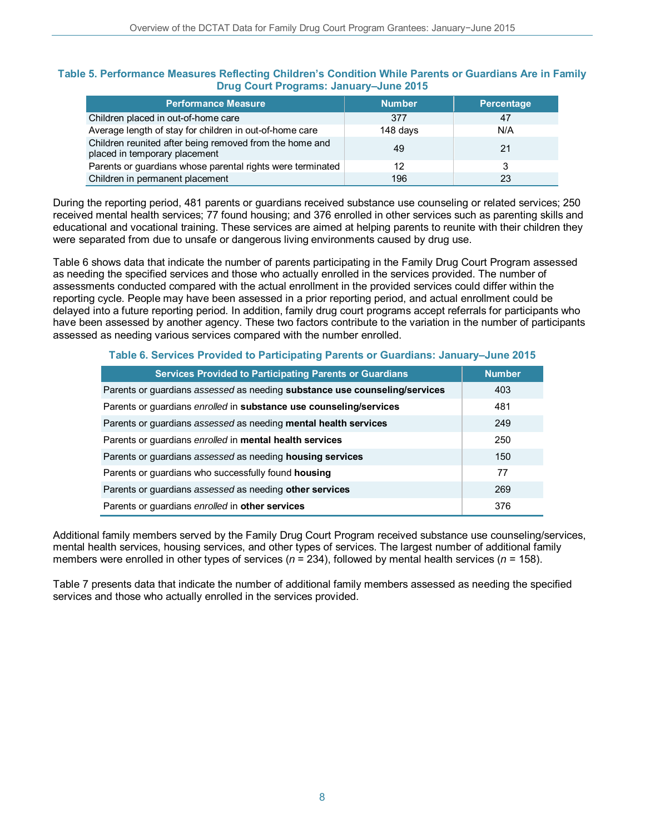#### **Table 5. Performance Measures Reflecting Children's Condition While Parents or Guardians Are in Family Drug Court Programs: January–June 2015**

| <b>Performance Measure</b>                                                               | <b>Number</b> | Percentage |
|------------------------------------------------------------------------------------------|---------------|------------|
| Children placed in out-of-home care                                                      | 377           | 47         |
| Average length of stay for children in out-of-home care                                  | 148 days      | N/A        |
| Children reunited after being removed from the home and<br>placed in temporary placement | 49            | 21         |
| Parents or guardians whose parental rights were terminated                               | 12            |            |
| Children in permanent placement                                                          | 196           | 23         |

During the reporting period, 481 parents or guardians received substance use counseling or related services; 250 received mental health services; 77 found housing; and 376 enrolled in other services such as parenting skills and educational and vocational training. These services are aimed at helping parents to reunite with their children they were separated from due to unsafe or dangerous living environments caused by drug use.

Table 6 shows data that indicate the number of parents participating in the Family Drug Court Program assessed as needing the specified services and those who actually enrolled in the services provided. The number of assessments conducted compared with the actual enrollment in the provided services could differ within the reporting cycle. People may have been assessed in a prior reporting period, and actual enrollment could be delayed into a future reporting period. In addition, family drug court programs accept referrals for participants who have been assessed by another agency. These two factors contribute to the variation in the number of participants assessed as needing various services compared with the number enrolled.

#### **Table 6. Services Provided to Participating Parents or Guardians: January–June 2015**

| <b>Services Provided to Participating Parents or Guardians</b>             | <b>Number</b> |
|----------------------------------------------------------------------------|---------------|
| Parents or guardians assessed as needing substance use counseling/services | 403           |
| Parents or guardians enrolled in substance use counseling/services         | 481           |
| Parents or guardians assessed as needing mental health services            | 249           |
| Parents or guardians enrolled in mental health services                    | 250           |
| Parents or guardians assessed as needing housing services                  | 150           |
| Parents or quardians who successfully found <b>housing</b>                 | 77            |
| Parents or guardians assessed as needing other services                    | 269           |
| Parents or guardians enrolled in other services                            | 376           |

Additional family members served by the Family Drug Court Program received substance use counseling/services, mental health services, housing services, and other types of services. The largest number of additional family members were enrolled in other types of services (*n* = 234), followed by mental health services (*n* = 158).

Table 7 presents data that indicate the number of additional family members assessed as needing the specified services and those who actually enrolled in the services provided.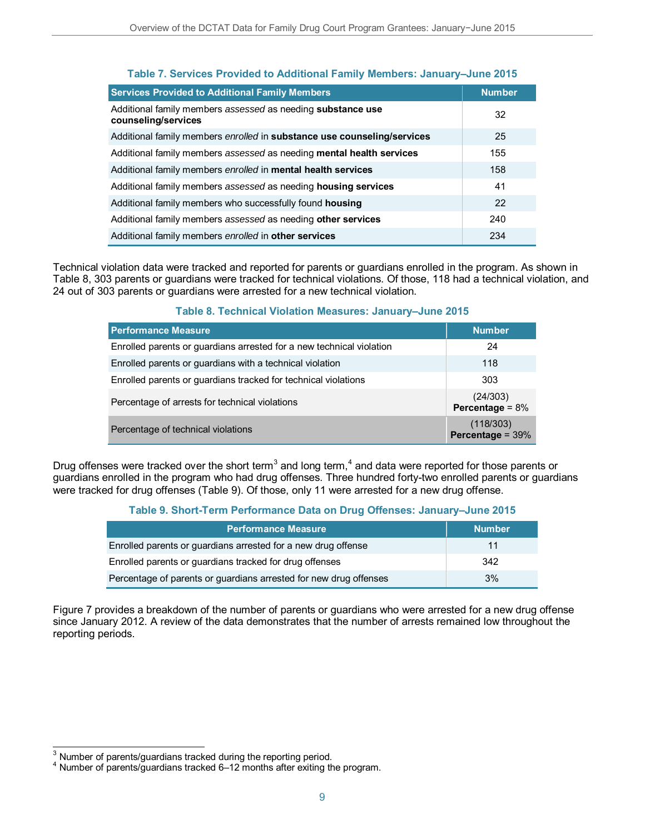| <b>Services Provided to Additional Family Members</b>                              | <b>Number</b> |
|------------------------------------------------------------------------------------|---------------|
| Additional family members assessed as needing substance use<br>counseling/services | 32            |
| Additional family members enrolled in substance use counseling/services            | 25            |
| Additional family members assessed as needing mental health services               | 155           |
| Additional family members enrolled in mental health services                       | 158           |
| Additional family members assessed as needing housing services                     | 41            |
| Additional family members who successfully found housing                           | 22            |
| Additional family members assessed as needing other services                       | 240           |
| Additional family members enrolled in other services                               | 234           |

#### **Table 7. Services Provided to Additional Family Members: January–June 2015**

Technical violation data were tracked and reported for parents or guardians enrolled in the program. As shown in Table 8, 303 parents or guardians were tracked for technical violations. Of those, 118 had a technical violation, and 24 out of 303 parents or guardians were arrested for a new technical violation.

#### **Table 8. Technical Violation Measures: January–June 2015**

| <b>Performance Measure</b>                                           | <b>Number</b>                  |
|----------------------------------------------------------------------|--------------------------------|
| Enrolled parents or guardians arrested for a new technical violation | 24                             |
| Enrolled parents or guardians with a technical violation             | 118                            |
| Enrolled parents or guardians tracked for technical violations       | 303                            |
| Percentage of arrests for technical violations                       | (24/303)<br>Percentage = $8\%$ |
| Percentage of technical violations                                   | (118/303)<br>Percentage = 39%  |

Drug offenses were tracked over the short term<sup>[3](#page-8-0)</sup> and long term,<sup>[4](#page-8-1)</sup> and data were reported for those parents or guardians enrolled in the program who had drug offenses. Three hundred forty-two enrolled parents or guardians were tracked for drug offenses (Table 9). Of those, only 11 were arrested for a new drug offense.

#### **Table 9. Short-Term Performance Data on Drug Offenses: January–June 2015**

| <b>Performance Measure</b>                                        | <b>Number</b> |
|-------------------------------------------------------------------|---------------|
| Enrolled parents or guardians arrested for a new drug offense     | 11            |
| Enrolled parents or guardians tracked for drug offenses           | 342           |
| Percentage of parents or guardians arrested for new drug offenses | 3%            |

Figure 7 provides a breakdown of the number of parents or guardians who were arrested for a new drug offense since January 2012. A review of the data demonstrates that the number of arrests remained low throughout the reporting periods.

 $\overline{\phantom{a}}$ 

<span id="page-8-1"></span><span id="page-8-0"></span>Number of parents/guardians tracked during the reporting period.<br>Number of parents/guardians tracked 6–12 months after exiting the program.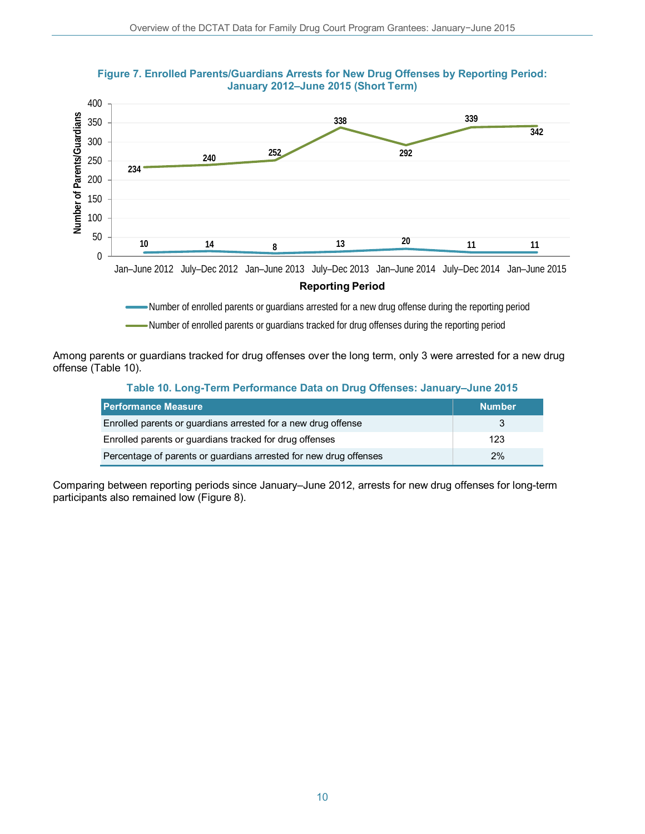

#### **Figure 7. Enrolled Parents/Guardians Arrests for New Drug Offenses by Reporting Period: January 2012–June 2015 (Short Term)**

Number of enrolled parents or guardians arrested for a new drug offense during the reporting period

Number of enrolled parents or guardians tracked for drug offenses during the reporting period

Among parents or guardians tracked for drug offenses over the long term, only 3 were arrested for a new drug offense (Table 10).

#### **Table 10. Long-Term Performance Data on Drug Offenses: January–June 2015**

| <b>Performance Measure</b>                                        | <b>Number</b> |
|-------------------------------------------------------------------|---------------|
| Enrolled parents or guardians arrested for a new drug offense     |               |
| Enrolled parents or guardians tracked for drug offenses           | 123           |
| Percentage of parents or guardians arrested for new drug offenses | 2%            |

Comparing between reporting periods since January–June 2012, arrests for new drug offenses for long-term participants also remained low (Figure 8).